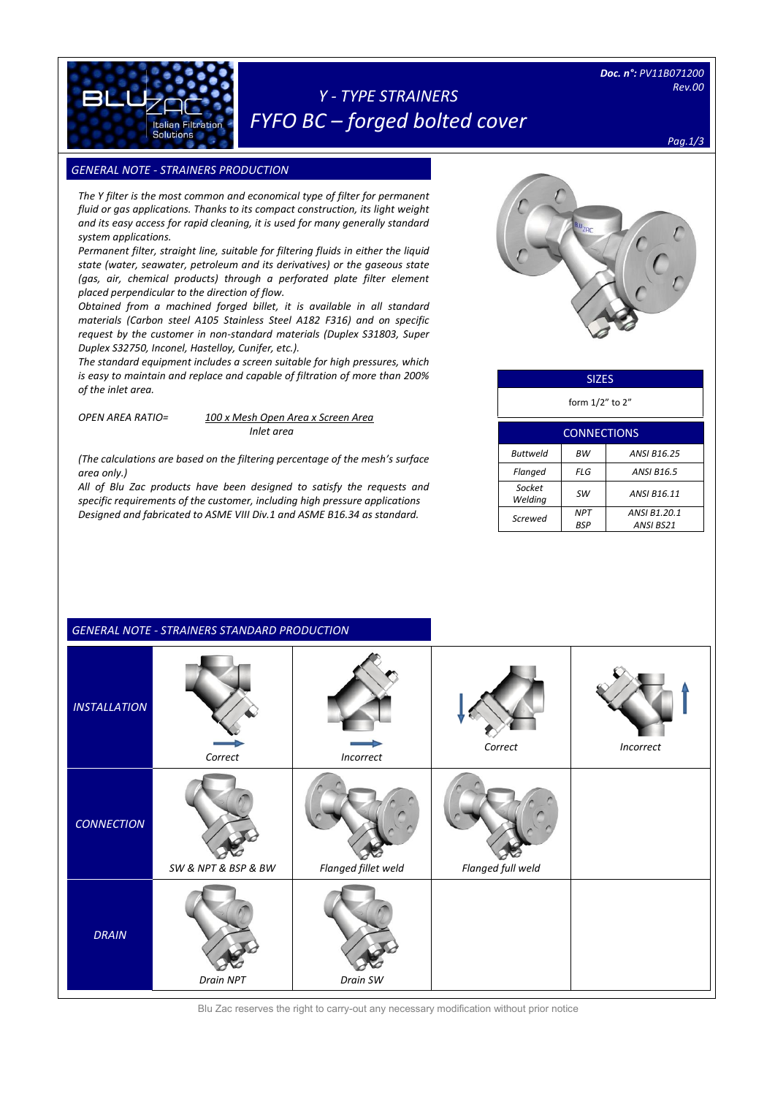

# *Y - TYPE STRAINERS FYFO BC – forged bolted cover*

*Pag.1/3*

## **GENERAL NOTE - STRAINERS PRODUCTION**

**Italian Filtratio** Solutions

[Digitare il testo]

*The Y filter is the most common and economical type of filter for permanent fluid or gas applications. Thanks to its compact construction, its light weight and its easy access for rapid cleaning, it is used for many generally standard system applications.*

*Permanent filter, straight line, suitable for filtering fluids in either the liquid state (water, seawater, petroleum and its derivatives) or the gaseous state (gas, air, chemical products) through a perforated plate filter element placed perpendicular to the direction of flow.*

*Obtained from a machined forged billet, it is available in all standard materials (Carbon steel A105 Stainless Steel A182 F316) and on specific request by the customer in non-standard materials (Duplex S31803, Super Duplex S32750, Inconel, Hastelloy, Cunifer, etc.).*

*The standard equipment includes a screen suitable for high pressures, which is easy to maintain and replace and capable of filtration of more than 200% of the inlet area.*

*OPEN AREA RATIO= 100 x Mesh Open Area x Screen Area Inlet area*

*(The calculations are based on the filtering percentage of the mesh's surface area only.)*

*All of Blu Zac products have been designed to satisfy the requests and specific requirements of the customer, including high pressure applications Designed and fabricated to ASME VIII Div.1 and ASME B16.34 as standard.*



| <b>SIZES</b> |
|--------------|
|--------------|

form 1/2" to 2"

| <b>CONNECTIONS</b> |            |                    |  |  |  |
|--------------------|------------|--------------------|--|--|--|
| Buttweld           | <b>BW</b>  | <b>ANSI B16.25</b> |  |  |  |
| Flanged            | FLG        | <b>ANSI B16.5</b>  |  |  |  |
| Socket<br>Welding  | sw         | ANSI B16.11        |  |  |  |
|                    | <b>NPT</b> | ANSI B1.20.1       |  |  |  |
| Screwed            | BSP        | ANSI BS21          |  |  |  |

|                     | <b>GENERAL NOTE - STRAINERS STANDARD PRODUCTION</b> |                     |                   |           |
|---------------------|-----------------------------------------------------|---------------------|-------------------|-----------|
| <b>INSTALLATION</b> | Correct                                             | Incorrect           | Correct           | Incorrect |
| <b>CONNECTION</b>   | SW & NPT & BSP & BW                                 | Flanged fillet weld | Flanged full weld |           |
| <b>DRAIN</b>        | Drain NPT                                           | Drain SW            |                   |           |

Blu Zac reserves the right to carry-out any necessary modification without prior notice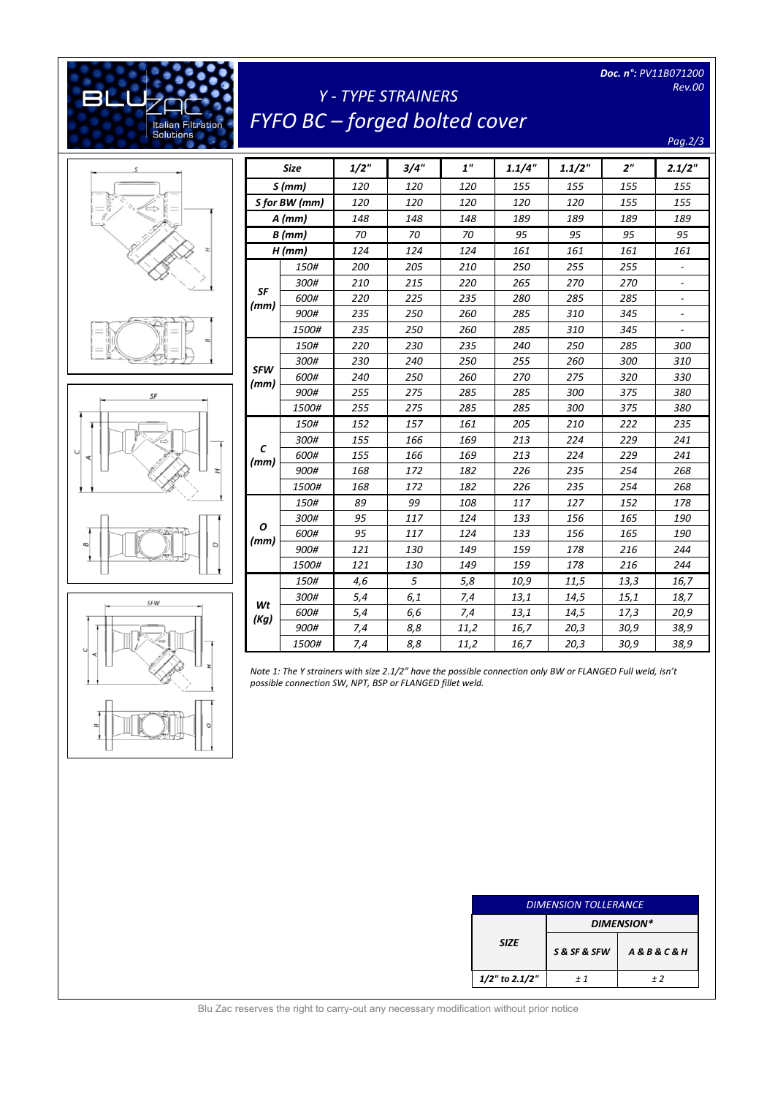*Doc. n°: PV11B071200 Rev.00* 

# *Y - TYPE STRAINERS FYFO BC – forged bolted cover*

*Pag.2/3*



[Digitare il testo]

**Italian Filtration**<br>Solutions





|            | Size          | 1/2" | 3/4" | 1"   | 1.1/4" | 1.1/2" | 2 <sup>n</sup> | 2.1/2"                   |
|------------|---------------|------|------|------|--------|--------|----------------|--------------------------|
|            | S(mm)         | 120  | 120  | 120  | 155    | 155    | 155            | 155                      |
|            | S for BW (mm) | 120  | 120  | 120  | 120    | 120    | 155            | 155                      |
|            | $A$ (mm)      | 148  | 148  | 148  | 189    | 189    | 189            | 189                      |
|            | $B$ (mm)      | 70   | 70   | 70   | 95     | 95     | 95             | 95                       |
|            | $H$ (mm)      | 124  | 124  | 124  | 161    | 161    | 161            | 161                      |
|            | 150#          | 200  | 205  | 210  | 250    | 255    | 255            |                          |
|            | 300#          | 210  | 215  | 220  | 265    | 270    | 270            | $\overline{\phantom{a}}$ |
| SF         | 600#          | 220  | 225  | 235  | 280    | 285    | 285            | $\overline{\phantom{a}}$ |
| (mm)       | 900#          | 235  | 250  | 260  | 285    | 310    | 345            |                          |
|            | 1500#         | 235  | 250  | 260  | 285    | 310    | 345            | $\overline{\phantom{0}}$ |
|            | 150#          | 220  | 230  | 235  | 240    | 250    | 285            | 300                      |
| <b>SFW</b> | 300#          | 230  | 240  | 250  | 255    | 260    | 300            | 310                      |
| (mm)       | 600#          | 240  | 250  | 260  | 270    | 275    | 320            | 330                      |
|            | 900#          | 255  | 275  | 285  | 285    | 300    | 375            | 380                      |
|            | 1500#         | 255  | 275  | 285  | 285    | 300    | 375            | 380                      |
|            | 150#          | 152  | 157  | 161  | 205    | 210    | 222            | 235                      |
|            | 300#          | 155  | 166  | 169  | 213    | 224    | 229            | 241                      |
| C<br>(mm)  | 600#          | 155  | 166  | 169  | 213    | 224    | 229            | 241                      |
|            | 900#          | 168  | 172  | 182  | 226    | 235    | 254            | 268                      |
|            | <i>1500#</i>  | 168  | 172  | 182  | 226    | 235    | 254            | 268                      |
|            | 150#          | 89   | 99   | 108  | 117    | 127    | 152            | 178                      |
|            | 300#          | 95   | 117  | 124  | 133    | 156    | 165            | 190                      |
| ο<br>(mm)  | 600#          | 95   | 117  | 124  | 133    | 156    | 165            | 190                      |
|            | 900#          | 121  | 130  | 149  | 159    | 178    | 216            | 244                      |
|            | 1500#         | 121  | 130  | 149  | 159    | 178    | 216            | 244                      |
|            | 150#          | 4,6  | 5    | 5,8  | 10,9   | 11,5   | 13,3           | 16,7                     |
| Wt         | 300#          | 5,4  | 6,1  | 7,4  | 13,1   | 14,5   | 15,1           | 18,7                     |
| (Kg)       | 600#          | 5,4  | 6,6  | 7,4  | 13,1   | 14,5   | 17,3           | 20,9                     |
|            | 900#          | 7,4  | 8,8  | 11,2 | 16,7   | 20,3   | 30,9           | 38,9                     |
|            | 1500#         | 7,4  | 8,8  | 11,2 | 16,7   | 20,3   | 30,9           | 38,9                     |

*Note 1: The Y strainers with size 2.1/2" have the possible connection only BW or FLANGED Full weld, isn't possible connection SW, NPT, BSP or FLANGED fillet weld.*

| <b>DIMENSION TOLLERANCE</b> |                   |                            |  |  |  |
|-----------------------------|-------------------|----------------------------|--|--|--|
|                             | <b>DIMENSION*</b> |                            |  |  |  |
| <b>SIZE</b>                 | S & SF & SFW      | <b>A&amp;B&amp;C&amp;H</b> |  |  |  |
| $1/2$ " to 2.1/2"           | + 1               | $+2$                       |  |  |  |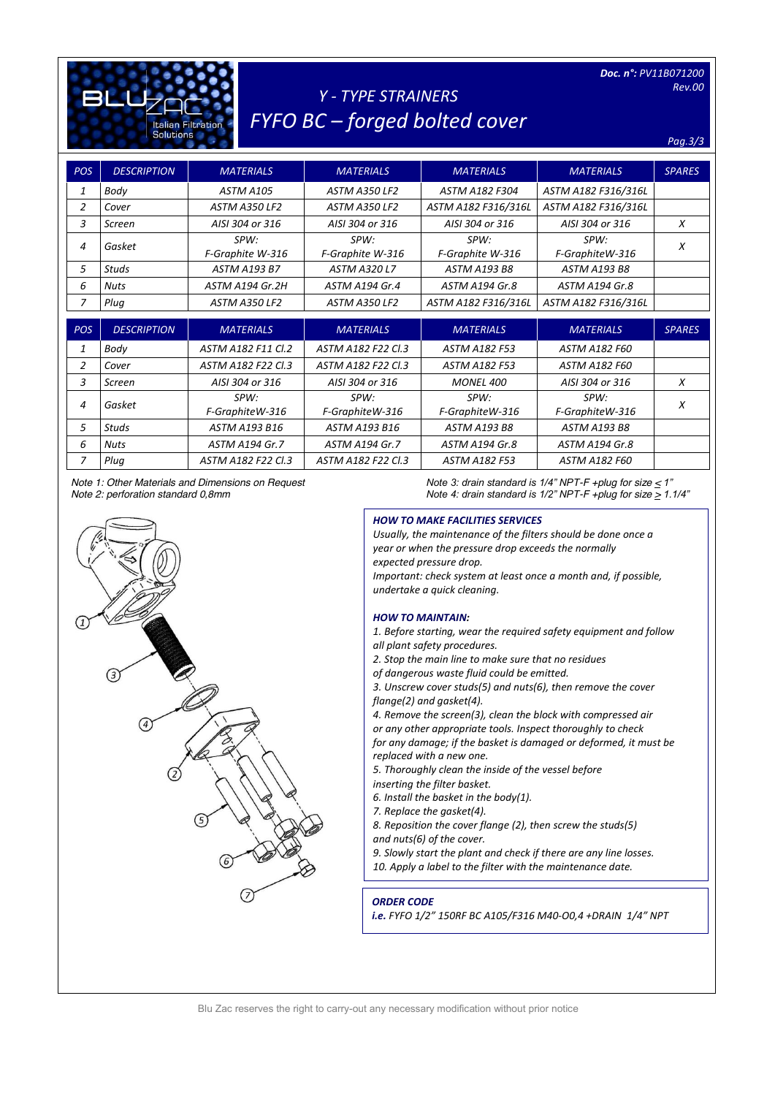| Doc. n°: PV11B071200<br><b>Rev.00</b><br><b>Y - TYPE STRAINERS</b><br><b>FYFO BC - forged bolted cover</b><br><b>Italian Filtration</b><br><b>Solutions</b><br>Pag.3/3 |                    |                          |                          |                          |                         |               |  |  |
|------------------------------------------------------------------------------------------------------------------------------------------------------------------------|--------------------|--------------------------|--------------------------|--------------------------|-------------------------|---------------|--|--|
| <b>POS</b>                                                                                                                                                             | <b>DESCRIPTION</b> | <b>MATERIALS</b>         | <b>MATERIALS</b>         | <b>MATERIALS</b>         | <b>MATERIALS</b>        | <b>SPARES</b> |  |  |
| 1                                                                                                                                                                      | Body               | ASTM A105                | ASTM A350 LF2            | <b>ASTM A182 F304</b>    | ASTM A182 F316/316L     |               |  |  |
| $\overline{2}$                                                                                                                                                         | Cover              | ASTM A350 LF2            | ASTM A350 LF2            | ASTM A182 F316/316L      | ASTM A182 F316/316L     |               |  |  |
| 3                                                                                                                                                                      | Screen             | AISI 304 or 316          | AISI 304 or 316          | AISI 304 or 316          | AISI 304 or 316         | X             |  |  |
| 4                                                                                                                                                                      | Gasket             | SPW:<br>F-Graphite W-316 | SPW:<br>F-Graphite W-316 | SPW:<br>F-Graphite W-316 | SPW:<br>F-GraphiteW-316 | X             |  |  |
| 5                                                                                                                                                                      | <b>Studs</b>       | <b>ASTM A193 B7</b>      | <b>ASTM A320 L7</b>      | <b>ASTM A193 B8</b>      | <b>ASTM A193 B8</b>     |               |  |  |
| 6                                                                                                                                                                      | <b>Nuts</b>        | ASTM A194 Gr.2H          | <b>ASTM A194 Gr.4</b>    | ASTM A194 Gr.8           | ASTM A194 Gr.8          |               |  |  |
| $\overline{z}$                                                                                                                                                         | Plug               | ASTM A350 LF2            | <b>ASTM A350 LF2</b>     | ASTM A182 F316/316L      | ASTM A182 F316/316L     |               |  |  |
| <b>POS</b>                                                                                                                                                             | <b>DESCRIPTION</b> | <b>MATERIALS</b>         | <b>MATERIALS</b>         | <b>MATERIALS</b>         | <b>MATERIALS</b>        | <b>SPARES</b> |  |  |
| 1                                                                                                                                                                      | Body               | ASTM A182 F11 Cl.2       | ASTM A182 F22 Cl.3       | <b>ASTM A182 F53</b>     | ASTM A182 F60           |               |  |  |
| $\overline{2}$                                                                                                                                                         | Cover              | ASTM A182 F22 Cl.3       | ASTM A182 F22 Cl.3       | <b>ASTM A182 F53</b>     | <b>ASTM A182 F60</b>    |               |  |  |
| 3                                                                                                                                                                      | Screen             | AISI 304 or 316          | AISI 304 or 316          | <b>MONEL 400</b>         | AISI 304 or 316         | X             |  |  |
| 4                                                                                                                                                                      | Gasket             | SPW:                     | SPW:                     | SPW:                     | SPW:                    | X             |  |  |
|                                                                                                                                                                        |                    | F-GraphiteW-316          | F-GraphiteW-316          | F-GraphiteW-316          | F-GraphiteW-316         |               |  |  |
| 5                                                                                                                                                                      | <b>Studs</b>       | ASTM A193 B16            | ASTM A193 B16            | <b>ASTM A193 B8</b>      | <b>ASTM A193 B8</b>     |               |  |  |
| 6                                                                                                                                                                      | <b>Nuts</b>        | ASTM A194 Gr.7           | <b>ASTM A194 Gr.7</b>    | ASTM A194 Gr.8           | ASTM A194 Gr.8          |               |  |  |
| $\overline{z}$                                                                                                                                                         | Plug               | ASTM A182 F22 Cl.3       | ASTM A182 F22 Cl.3       | <b>ASTM A182 F53</b>     | <b>ASTM A182 F60</b>    |               |  |  |

 $\sqrt{1}$ 

 $\sqrt{3}$ 

 $\sqrt{4}$ 

<sup>5</sup>



## *HOW TO MAKE FACILITIES SERVICES*

*Usually, the maintenance of the filters should be done once a year or when the pressure drop exceeds the normally expected pressure drop. Important: check system at least once a month and, if possible, undertake a quick cleaning.*

#### *HOW TO MAINTAIN:*

*1. Before starting, wear the required safety equipment and follow all plant safety procedures.*

- *2. Stop the main line to make sure that no residues*
- *of dangerous waste fluid could be emitted.*

*3. Unscrew cover studs(5) and nuts(6), then remove the cover flange(2) and gasket(4).*

*4. Remove the screen(3), clean the block with compressed air* 

*or any other appropriate tools. Inspect thoroughly to check for any damage; if the basket is damaged or deformed, it must be replaced with a new one.*

*5. Thoroughly clean the inside of the vessel before* 

*inserting the filter basket.*

- *6. Install the basket in the body(1).*
- *7. Replace the gasket(4).*

*8. Reposition the cover flange (2), then screw the studs(5) and nuts(6) of the cover.*

*9. Slowly start the plant and check if there are any line losses. 10. Apply a label to the filter with the maintenance date.*

### *ORDER CODE*

*i.e. FYFO 1/2" 150RF BC A105/F316 M40-O0,4 +DRAIN 1/4" NPT*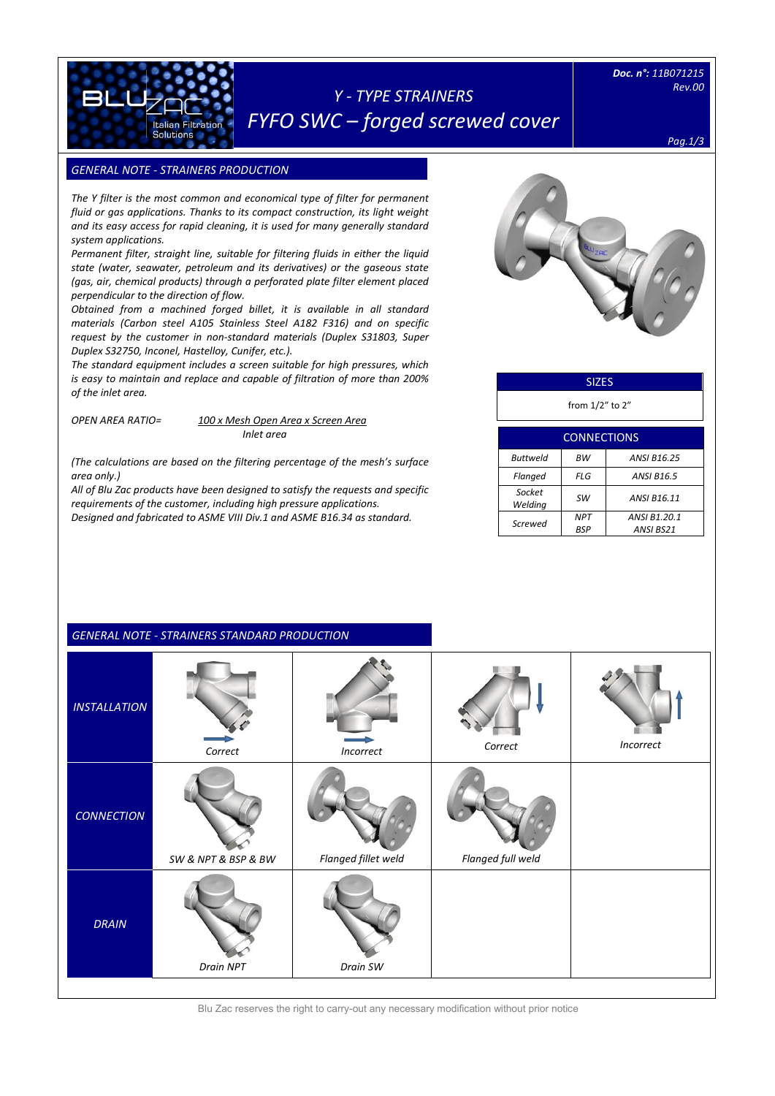# *Y - TYPE STRAINERS FYFO SWC – forged screwed cover*

*Doc. n°: 11B071215 Rev.00* 

*Pag.1/3*

## **GENERAL NOTE - STRAINERS PRODUCTION**

Italian Filtration **Solutions** 

[Digitare il testo]

*The Y filter is the most common and economical type of filter for permanent fluid or gas applications. Thanks to its compact construction, its light weight and its easy access for rapid cleaning, it is used for many generally standard system applications.*

*Permanent filter, straight line, suitable for filtering fluids in either the liquid state (water, seawater, petroleum and its derivatives) or the gaseous state (gas, air, chemical products) through a perforated plate filter element placed perpendicular to the direction of flow.*

*Obtained from a machined forged billet, it is available in all standard materials (Carbon steel A105 Stainless Steel A182 F316) and on specific request by the customer in non-standard materials (Duplex S31803, Super Duplex S32750, Inconel, Hastelloy, Cunifer, etc.).*

*The standard equipment includes a screen suitable for high pressures, which is easy to maintain and replace and capable of filtration of more than 200% of the inlet area.*

### *OPEN AREA RATIO= 100 x Mesh Open Area x Screen Area Inlet area*

*(The calculations are based on the filtering percentage of the mesh's surface area only.)*

*All of Blu Zac products have been designed to satisfy the requests and specific requirements of the customer, including high pressure applications. Designed and fabricated to ASME VIII Div.1 and ASME B16.34 as standard.*



### SIZES

from 1/2" to 2"

| <b>CONNECTIONS</b> |            |                    |  |  |  |
|--------------------|------------|--------------------|--|--|--|
| Buttweld           | <b>BW</b>  | <b>ANSI B16.25</b> |  |  |  |
| Flanged            | FLG        | <b>ANSI B16.5</b>  |  |  |  |
| Socket<br>Welding  | sw         | ANSI B16.11        |  |  |  |
| Screwed            | <b>NPT</b> | ANSI B1.20.1       |  |  |  |
|                    | <b>BSP</b> | ANSI BS21          |  |  |  |
|                    |            |                    |  |  |  |

|                     | <b>GENERAL NOTE - STRAINERS STANDARD PRODUCTION</b> |                     |                   |           |
|---------------------|-----------------------------------------------------|---------------------|-------------------|-----------|
| <b>INSTALLATION</b> | Correct                                             | Incorrect           | Correct           | Incorrect |
| <b>CONNECTION</b>   | SW & NPT & BSP & BW                                 | Flanged fillet weld | Flanged full weld |           |
| <b>DRAIN</b>        | Drain NPT                                           | Drain SW            |                   |           |

Blu Zac reserves the right to carry-out any necessary modification without prior notice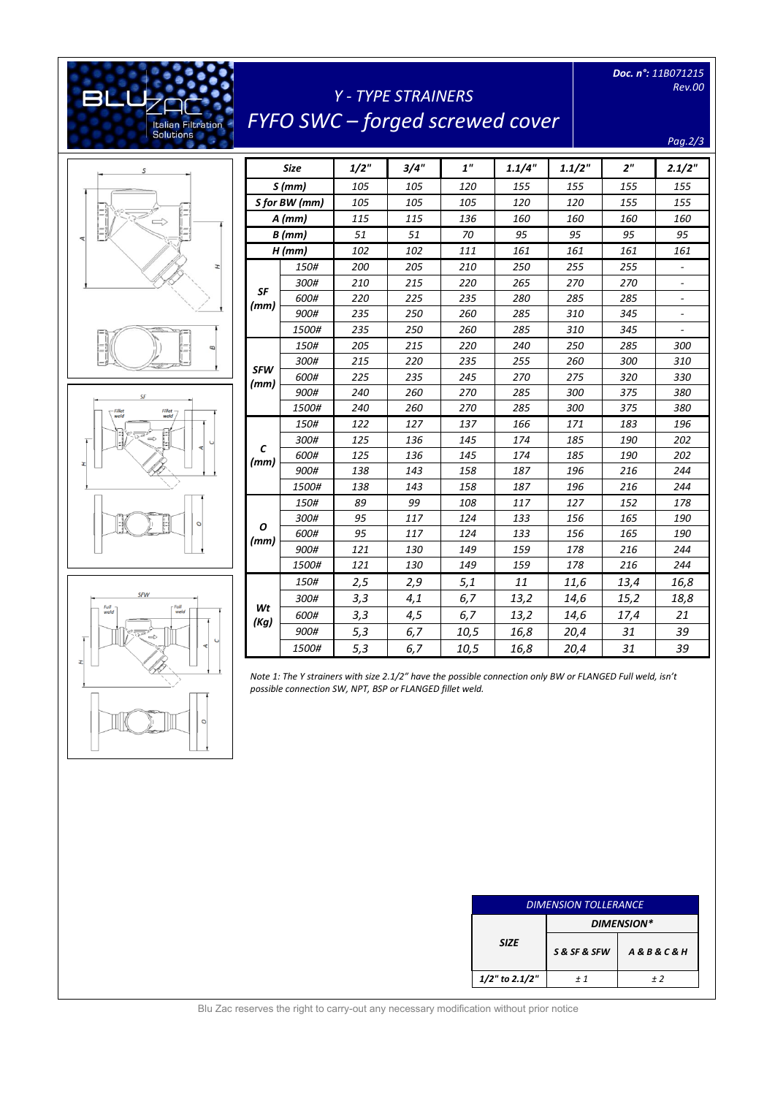*Doc. n°: 11B071215 Rev.00* 

# *Y - TYPE STRAINERS FYFO SWC – forged screwed cover*

*Pag.2/3*



[Digitare il testo]

Italian Filtration<br>Solutions

Ŀ

 $\mathsf{r}$ 

31 œ





|                    | <b>Size</b>   | 1/2" | 3/4" | 1"   | 1.1/4" | 1.1/2" | 2 <sup>n</sup> | 2.1/2"                   |
|--------------------|---------------|------|------|------|--------|--------|----------------|--------------------------|
|                    | S(mm)         | 105  | 105  | 120  | 155    | 155    | 155            | 155                      |
|                    | S for BW (mm) | 105  | 105  | 105  | 120    | 120    | 155            | 155                      |
|                    | $A$ (mm)      | 115  | 115  | 136  | 160    | 160    | 160            | 160                      |
|                    | $B$ (mm)      | 51   | 51   | 70   | 95     | 95     | 95             | 95                       |
|                    | $H$ (mm)      | 102  | 102  | 111  | 161    | 161    | 161            | 161                      |
|                    | 150#          | 200  | 205  | 210  | 250    | 255    | 255            | $\overline{\phantom{a}}$ |
|                    | 300#          | 210  | 215  | 220  | 265    | 270    | 270            |                          |
| SF<br>(mm)         | 600#          | 220  | 225  | 235  | 280    | 285    | 285            | $\overline{\phantom{a}}$ |
|                    | 900#          | 235  | 250  | 260  | 285    | 310    | 345            |                          |
|                    | 1500#         | 235  | 250  | 260  | 285    | 310    | 345            |                          |
|                    | 150#          | 205  | 215  | 220  | 240    | 250    | 285            | 300                      |
|                    | 300#          | 215  | 220  | 235  | 255    | 260    | 300            | 310                      |
| <b>SFW</b><br>(mm) | 600#          | 225  | 235  | 245  | 270    | 275    | 320            | 330                      |
|                    | 900#          | 240  | 260  | 270  | 285    | 300    | 375            | 380                      |
|                    | 1500#         | 240  | 260  | 270  | 285    | 300    | 375            | 380                      |
|                    | 150#          | 122  | 127  | 137  | 166    | 171    | 183            | 196                      |
|                    | 300#          | 125  | 136  | 145  | 174    | 185    | 190            | 202                      |
| C<br>(mm)          | 600#          | 125  | 136  | 145  | 174    | 185    | 190            | 202                      |
|                    | 900#          | 138  | 143  | 158  | 187    | 196    | 216            | 244                      |
|                    | 1500#         | 138  | 143  | 158  | 187    | 196    | 216            | 244                      |
|                    | 150#          | 89   | 99   | 108  | 117    | 127    | 152            | 178                      |
|                    | 300#          | 95   | 117  | 124  | 133    | 156    | 165            | 190                      |
| Ο<br>(mm)          | 600#          | 95   | 117  | 124  | 133    | 156    | 165            | 190                      |
|                    | 900#          | 121  | 130  | 149  | 159    | 178    | 216            | 244                      |
|                    | 1500#         | 121  | 130  | 149  | 159    | 178    | 216            | 244                      |
|                    | 150#          | 2,5  | 2,9  | 5,1  | 11     | 11,6   | 13,4           | 16,8                     |
|                    | 300#          | 3,3  | 4,1  | 6,7  | 13,2   | 14,6   | 15,2           | 18,8                     |
| Wt                 | 600#          | 3,3  | 4,5  | 6,7  | 13,2   | 14,6   | 17,4           | 21                       |
| (Kg)               | 900#          | 5,3  | 6,7  | 10,5 | 16,8   | 20,4   | 31             | 39                       |
|                    | 1500#         | 5,3  | 6,7  | 10,5 | 16,8   | 20,4   | 31             | 39                       |

*Note 1: The Y strainers with size 2.1/2" have the possible connection only BW or FLANGED Full weld, isn't possible connection SW, NPT, BSP or FLANGED fillet weld.*

| <b>DIMENSION TOLLERANCE</b> |              |                            |  |  |
|-----------------------------|--------------|----------------------------|--|--|
|                             | DIMENSION*   |                            |  |  |
| <b>SIZE</b>                 | S & SF & SFW | <b>A&amp;B&amp;C&amp;H</b> |  |  |
| $1/2$ " to 2.1/2"           | $+1$         | + 2                        |  |  |